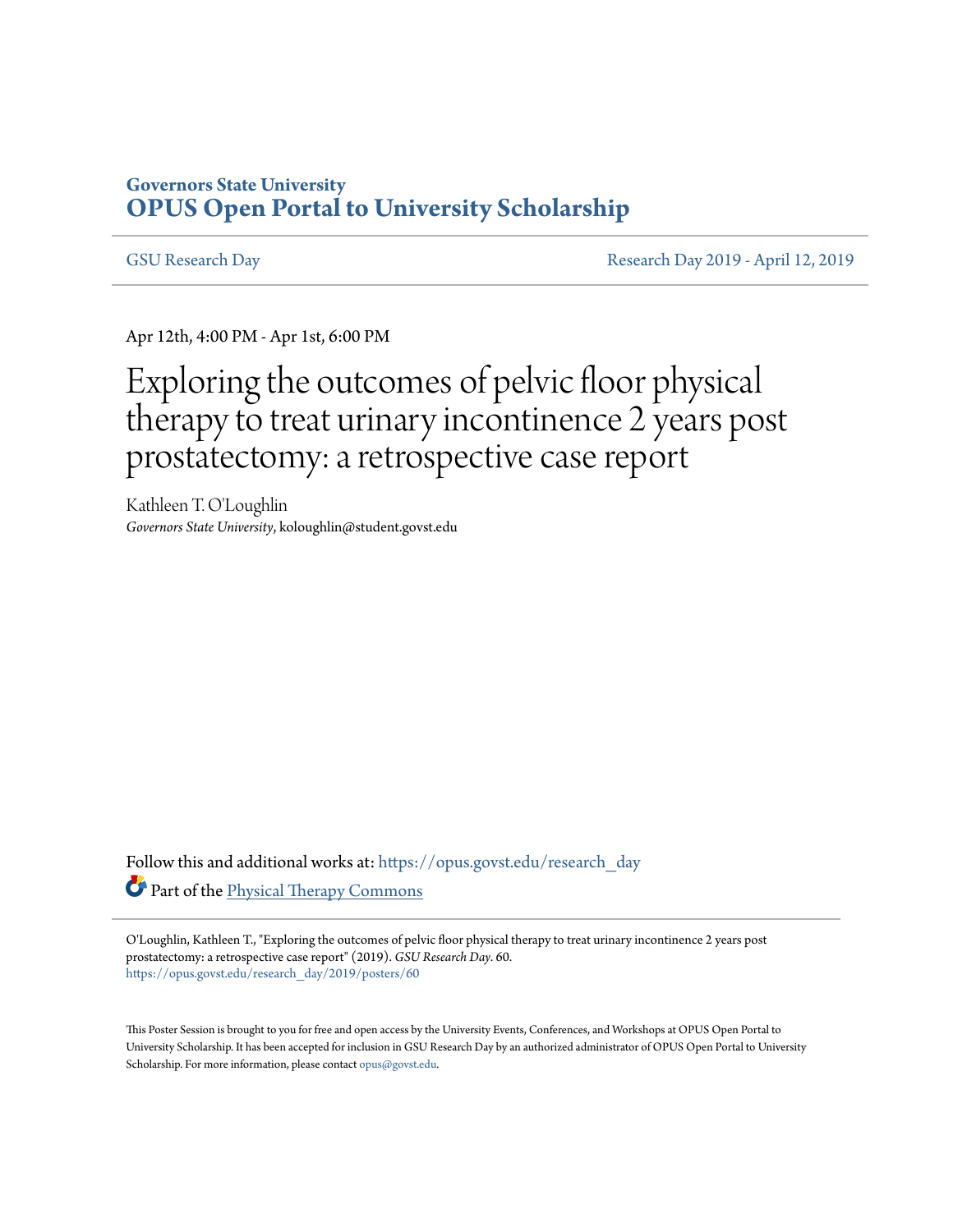### **Governors State University [OPUS Open Portal to University Scholarship](https://opus.govst.edu?utm_source=opus.govst.edu%2Fresearch_day%2F2019%2Fposters%2F60&utm_medium=PDF&utm_campaign=PDFCoverPages)**

[GSU Research Day](https://opus.govst.edu/research_day?utm_source=opus.govst.edu%2Fresearch_day%2F2019%2Fposters%2F60&utm_medium=PDF&utm_campaign=PDFCoverPages) **[Research Day 2019 - April 12, 2019](https://opus.govst.edu/research_day/2019?utm_source=opus.govst.edu%2Fresearch_day%2F2019%2Fposters%2F60&utm_medium=PDF&utm_campaign=PDFCoverPages)** 

Apr 12th, 4:00 PM - Apr 1st, 6:00 PM

### Exploring the outcomes of pelvic floor physical therapy to treat urinary incontinence 2 years post prostatectomy: a retrospective case report

Kathleen T. O'Loughlin *Governors State University*, koloughlin@student.govst.edu

Follow this and additional works at: [https://opus.govst.edu/research\\_day](https://opus.govst.edu/research_day?utm_source=opus.govst.edu%2Fresearch_day%2F2019%2Fposters%2F60&utm_medium=PDF&utm_campaign=PDFCoverPages) Part of the [Physical Therapy Commons](http://network.bepress.com/hgg/discipline/754?utm_source=opus.govst.edu%2Fresearch_day%2F2019%2Fposters%2F60&utm_medium=PDF&utm_campaign=PDFCoverPages)

O'Loughlin, Kathleen T., "Exploring the outcomes of pelvic floor physical therapy to treat urinary incontinence 2 years post prostatectomy: a retrospective case report" (2019). *GSU Research Day*. 60. [https://opus.govst.edu/research\\_day/2019/posters/60](https://opus.govst.edu/research_day/2019/posters/60?utm_source=opus.govst.edu%2Fresearch_day%2F2019%2Fposters%2F60&utm_medium=PDF&utm_campaign=PDFCoverPages)

This Poster Session is brought to you for free and open access by the University Events, Conferences, and Workshops at OPUS Open Portal to University Scholarship. It has been accepted for inclusion in GSU Research Day by an authorized administrator of OPUS Open Portal to University Scholarship. For more information, please contact [opus@govst.edu.](mailto:opus@govst.edu)